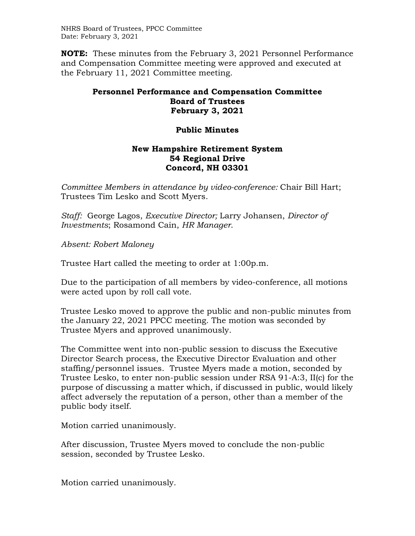NHRS Board of Trustees, PPCC Committee Date: February 3, 2021

**NOTE:** These minutes from the February 3, 2021 Personnel Performance and Compensation Committee meeting were approved and executed at the February 11, 2021 Committee meeting.

## **Personnel Performance and Compensation Committee Board of Trustees February 3, 2021**

## **Public Minutes**

## **New Hampshire Retirement System 54 Regional Drive Concord, NH 03301**

*Committee Members in attendance by video-conference:* Chair Bill Hart; Trustees Tim Lesko and Scott Myers.

*Staff:* George Lagos, *Executive Director;* Larry Johansen, *Director of Investments*; Rosamond Cain, *HR Manager*.

*Absent: Robert Maloney* 

Trustee Hart called the meeting to order at 1:00p.m.

Due to the participation of all members by video-conference, all motions were acted upon by roll call vote.

Trustee Lesko moved to approve the public and non-public minutes from the January 22, 2021 PPCC meeting. The motion was seconded by Trustee Myers and approved unanimously.

The Committee went into non-public session to discuss the Executive Director Search process, the Executive Director Evaluation and other staffing/personnel issues. Trustee Myers made a motion, seconded by Trustee Lesko, to enter non-public session under RSA 91-A:3, II(c) for the purpose of discussing a matter which, if discussed in public, would likely affect adversely the reputation of a person, other than a member of the public body itself.

Motion carried unanimously.

After discussion, Trustee Myers moved to conclude the non-public session, seconded by Trustee Lesko.

Motion carried unanimously.